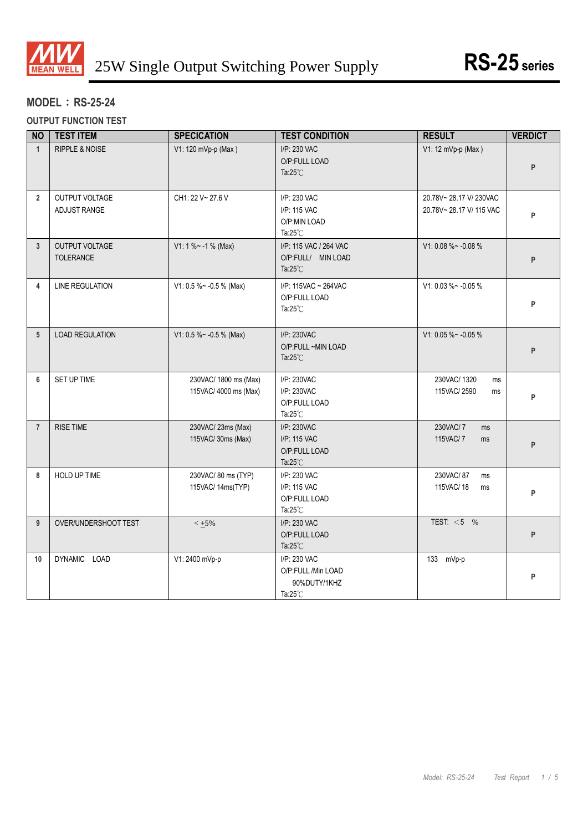

# **MODEL**:**RS-25-24**

**OUTPUT FUNCTION TEST**

| <b>NO</b>               | <b>TEST ITEM</b>                   | <b>SPECICATION</b>                             | <b>TEST CONDITION</b>                                               | <b>RESULT</b>                                    | <b>VERDICT</b> |
|-------------------------|------------------------------------|------------------------------------------------|---------------------------------------------------------------------|--------------------------------------------------|----------------|
| $\mathbf{1}$            | <b>RIPPLE &amp; NOISE</b>          | V1: 120 mVp-p (Max)                            | I/P: 230 VAC<br>O/P:FULL LOAD<br>Ta: $25^{\circ}$ C                 | V1: 12 mVp-p (Max)                               | P              |
| $\overline{2}$          | OUTPUT VOLTAGE<br>ADJUST RANGE     | CH1: 22 V~ 27.6 V                              | I/P: 230 VAC<br>I/P: 115 VAC<br>O/P:MIN LOAD<br>Ta: $25^{\circ}$ C  | 20.78V~28.17 V/230VAC<br>20.78V~28.17 V/ 115 VAC | P              |
| 3                       | <b>OUTPUT VOLTAGE</b><br>TOLERANCE | V1: 1 % ~ - 1 % (Max)                          | I/P: 115 VAC / 264 VAC<br>O/P:FULL/ MIN LOAD<br>Ta: $25^{\circ}$ C  | V1: 0.08 %~ -0.08 %                              | P              |
| $\overline{\mathbf{4}}$ | <b>LINE REGULATION</b>             | V1: 0.5 % ~ - 0.5 % (Max)                      | I/P: 115VAC ~ 264VAC<br>O/P:FULL LOAD<br>Ta: $25^{\circ}$ C         | V1: 0.03 %~ -0.05 %                              | P              |
| 5                       | <b>LOAD REGULATION</b>             | V1: 0.5 %~ -0.5 % (Max)                        | I/P: 230VAC<br>O/P:FULL~MIN LOAD<br>Ta: $25^{\circ}$ C              | V1: 0.05 %~ -0.05 %                              | P              |
| 6                       | SET UP TIME                        | 230VAC/ 1800 ms (Max)<br>115VAC/ 4000 ms (Max) | I/P: 230VAC<br>I/P: 230VAC<br>O/P:FULL LOAD<br>Ta: $25^{\circ}$ C   | 230VAC/1320<br>ms<br>115VAC/2590<br>ms           | P              |
| $\overline{7}$          | <b>RISE TIME</b>                   | 230VAC/ 23ms (Max)<br>115VAC/ 30ms (Max)       | I/P: 230VAC<br>I/P: 115 VAC<br>O/P:FULL LOAD<br>Ta: $25^{\circ}$ C  | 230VAC/7<br>ms<br>115VAC/7<br>ms                 | P              |
| 8                       | HOLD UP TIME                       | 230VAC/80 ms (TYP)<br>115VAC/ 14ms(TYP)        | I/P: 230 VAC<br>I/P: 115 VAC<br>O/P:FULL LOAD<br>Ta: $25^{\circ}$ C | 230VAC/87<br>ms<br>115VAC/18<br>ms               | P              |
| 9                       | OVER/UNDERSHOOT TEST               | $< +5\%$                                       | I/P: 230 VAC<br>O/P:FULL LOAD<br>Ta: $25^{\circ}$ C                 | TEST: $<$ 5 %                                    | P              |
| 10                      | DYNAMIC LOAD                       | V1: 2400 mVp-p                                 | I/P: 230 VAC<br>O/P:FULL /Min LOAD<br>90%DUTY/1KHZ<br>Ta:25°C       | 133 mVp-p                                        | P              |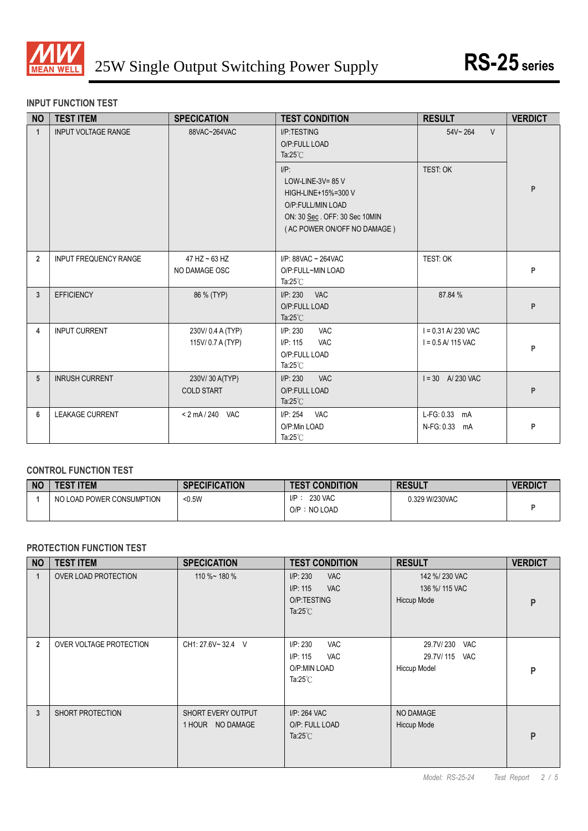

### **INPUT FUNCTION TEST**

| <b>NO</b>       | <b>TEST ITEM</b>             | <b>SPECICATION</b>                    | <b>TEST CONDITION</b>                                                                                                                      | <b>RESULT</b>                                | <b>VERDICT</b> |
|-----------------|------------------------------|---------------------------------------|--------------------------------------------------------------------------------------------------------------------------------------------|----------------------------------------------|----------------|
| $\mathbf{1}$    | <b>INPUT VOLTAGE RANGE</b>   | 88VAC~264VAC                          | I/P:TESTING<br>O/P:FULL LOAD<br>Ta: $25^{\circ}$ C                                                                                         | $54V - 264$<br>$\vee$                        |                |
|                 |                              |                                       | $I/P$ :<br>LOW-LINE-3V= $85$ V<br>HIGH-LINE+15%=300 V<br>O/P:FULL/MIN LOAD<br>ON: 30 Sec. OFF: 30 Sec 10MIN<br>(AC POWER ON/OFF NO DAMAGE) | TEST: OK                                     | P              |
| $\overline{2}$  | <b>INPUT FREQUENCY RANGE</b> | $47$ HZ $\sim$ 63 HZ<br>NO DAMAGE OSC | I/P: 88VAC ~ 264VAC<br>O/P:FULL~MIN LOAD<br>Ta: $25^{\circ}$ C                                                                             | TEST: OK                                     | P              |
| 3               | <b>EFFICIENCY</b>            | 86 % (TYP)                            | I/P: 230<br><b>VAC</b><br>O/P:FULL LOAD<br>Ta: $25^{\circ}$ C                                                                              | 87.84 %                                      | P              |
| 4               | <b>INPUT CURRENT</b>         | 230V/0.4 A (TYP)<br>115V/0.7 A (TYP)  | I/P: 230<br><b>VAC</b><br><b>VAC</b><br>I/P: 115<br>O/P:FULL LOAD<br>Ta: $25^{\circ}$ C                                                    | $I = 0.31$ A/230 VAC<br>$I = 0.5$ A/ 115 VAC | P              |
| $5\phantom{.0}$ | <b>INRUSH CURRENT</b>        | 230V/30 A(TYP)<br><b>COLD START</b>   | I/P: 230<br><b>VAC</b><br>O/P:FULL LOAD<br>Ta: $25^{\circ}$ C                                                                              | $I = 30$ A 230 VAC                           | P              |
| 6               | <b>LEAKAGE CURRENT</b>       | < 2 mA / 240 VAC                      | I/P: 254<br><b>VAC</b><br>O/P:Min LOAD<br>Ta: $25^{\circ}$ C                                                                               | L-FG: 0.33 mA<br>N-FG: 0.33 mA               | P              |

#### **CONTROL FUNCTION TEST**

| <b>NO</b> | <b>TEST ITEM</b>          | <b>SPECIFICATION</b> | <b>TEST CONDITION</b>              | <b>RESULT</b>  | <b>VERDICT</b> |
|-----------|---------------------------|----------------------|------------------------------------|----------------|----------------|
|           | NO LOAD POWER CONSUMPTION | $0.5W$               | 230 VAC<br>I/P<br>: NO LOAD<br>O/P | 0.329 W/230VAC |                |

### **PROTECTION FUNCTION TEST**

| <b>NO</b>      | <b>TEST ITEM</b>        | <b>SPECICATION</b>                     | <b>TEST CONDITION</b>                                                                  | <b>RESULT</b>                                            | <b>VERDICT</b> |
|----------------|-------------------------|----------------------------------------|----------------------------------------------------------------------------------------|----------------------------------------------------------|----------------|
| 1              | OVER LOAD PROTECTION    | 110 %~ 180 %                           | I/P: 230<br><b>VAC</b><br>I/P: 115<br><b>VAC</b><br>O/P:TESTING<br>Ta: $25^{\circ}$ C  | 142 %/ 230 VAC<br>136 %/ 115 VAC<br>Hiccup Mode          | P              |
| $\overline{2}$ | OVER VOLTAGE PROTECTION | CH1: 27.6V~32.4 V                      | I/P: 230<br><b>VAC</b><br>I/P: 115<br><b>VAC</b><br>O/P:MIN LOAD<br>Ta: $25^{\circ}$ C | 29.7V/230<br>VAC<br>29.7V/115 VAC<br><b>Hiccup Model</b> | P              |
| 3              | SHORT PROTECTION        | SHORT EVERY OUTPUT<br>1 HOUR NO DAMAGE | I/P: 264 VAC<br>O/P: FULL LOAD<br>Ta: $25^{\circ}$ C                                   | NO DAMAGE<br><b>Hiccup Mode</b>                          | P              |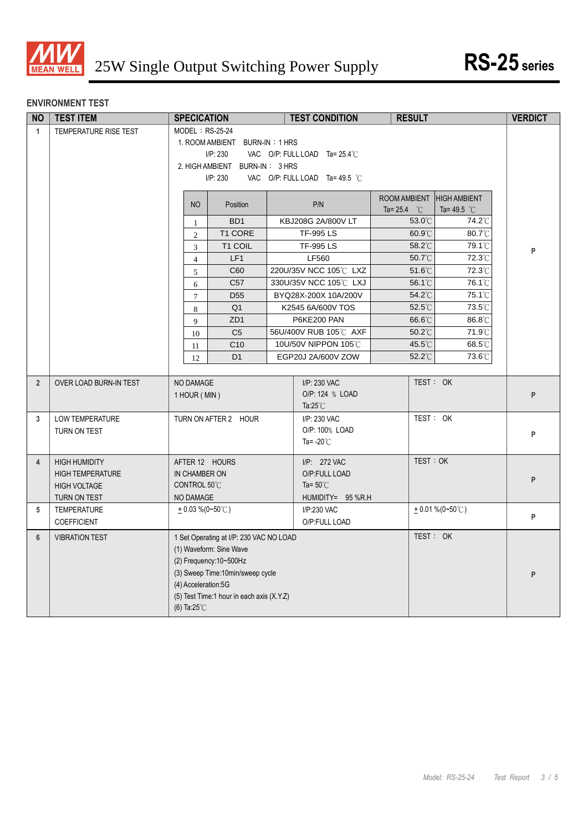

# **ENVIRONMENT TEST**

| <b>NO</b>      | <b>TEST ITEM</b>        | <b>SPECICATION</b>                                                  | <b>TEST CONDITION</b>          | <b>RESULT</b>                                      |                      | <b>VERDICT</b> |
|----------------|-------------------------|---------------------------------------------------------------------|--------------------------------|----------------------------------------------------|----------------------|----------------|
| $\mathbf{1}$   | TEMPERATURE RISE TEST   | MODEL: RS-25-24                                                     |                                |                                                    |                      |                |
|                |                         | 1. ROOM AMBIENT BURN-IN: 1 HRS                                      |                                |                                                    |                      |                |
|                |                         | I/P: 230                                                            | VAC O/P: FULL LOAD Ta= 25.4°C  |                                                    |                      |                |
|                |                         | 2. HIGH AMBIENT BURN-IN: 3 HRS                                      |                                |                                                    |                      |                |
|                |                         | I/P: 230                                                            | VAC O/P: FULL LOAD Ta= 49.5 °C |                                                    |                      |                |
|                |                         | N <sub>O</sub><br>Position                                          | P/N                            | ROOM AMBIENT HIGH AMBIENT<br>Ta= 25.4 $^{\circ}$ C | Ta=49.5 $^{\circ}$ C |                |
|                |                         | BD <sub>1</sub><br>1                                                | KBJ208G 2A/800V LT             | $53.0^{\circ}$ C                                   | 74.2°C               |                |
|                |                         | T1 CORE<br>$\mathbf{2}$                                             | <b>TF-995 LS</b>               | $60.9^{\circ}$ C                                   | 80.7°C               |                |
|                |                         | T1 COIL<br>$\mathfrak{Z}$                                           | <b>TF-995 LS</b>               | 58.2°C                                             | 79.1°C               | P              |
|                |                         | LF1<br>$\overline{4}$                                               | LF560                          | 50.7°C                                             | 72.3°C               |                |
|                |                         | C60<br>5                                                            | 220U/35V NCC 105°C LXZ         | $51.6^{\circ}$ C                                   | 72.3°C               |                |
|                |                         | C <sub>57</sub><br>6                                                | 330U/35V NCC 105°C LXJ         | 56.1°C                                             | 76.1°C               |                |
|                |                         | D <sub>55</sub><br>$\tau$                                           | BYQ28X-200X 10A/200V           | 54.2°C                                             | $75.1^{\circ}$       |                |
|                |                         | Q <sub>1</sub><br>8                                                 | K2545 6A/600V TOS              | $52.5^{\circ}$ C                                   | 73.5°C               |                |
|                |                         | ZD <sub>1</sub><br>9                                                | P6KE200 PAN                    | 66.6°C                                             | 86.8°C               |                |
|                |                         | C <sub>5</sub><br>10                                                | 56U/400V RUB 105℃ AXF          | $50.2^{\circ}$ C                                   | 71.9°C               |                |
|                |                         | C <sub>10</sub><br>11                                               | 10U/50V NIPPON 105°C           | 45.5°C                                             | 68.5°C               |                |
|                |                         | D <sub>1</sub><br>12                                                | EGP20J 2A/600V ZOW             | 52.2°C                                             | 73.6°C               |                |
|                |                         |                                                                     |                                |                                                    |                      |                |
| $\overline{2}$ | OVER LOAD BURN-IN TEST  | NO DAMAGE                                                           | I/P: 230 VAC                   | TEST: OK                                           |                      |                |
|                |                         | 1 HOUR (MIN)                                                        | O/P: 124 % LOAD                |                                                    |                      | P              |
|                |                         |                                                                     | Ta: $25^{\circ}$ C             |                                                    |                      |                |
| 3              | <b>LOW TEMPERATURE</b>  | TURN ON AFTER 2 HOUR                                                | I/P: 230 VAC<br>O/P: 100% LOAD | TEST: OK                                           |                      |                |
|                | TURN ON TEST            |                                                                     | Ta= $-20^{\circ}$ C            |                                                    |                      | P              |
|                |                         |                                                                     |                                |                                                    |                      |                |
| 4              | <b>HIGH HUMIDITY</b>    | AFTER 12 HOURS                                                      | I/P: 272 VAC                   | TEST: OK                                           |                      |                |
|                | <b>HIGH TEMPERATURE</b> | IN CHAMBER ON                                                       | O/P:FULL LOAD                  |                                                    |                      | P              |
|                | <b>HIGH VOLTAGE</b>     | CONTROL 50°C                                                        | Ta= $50^{\circ}$ C             |                                                    |                      |                |
|                | TURN ON TEST            | NO DAMAGE                                                           | HUMIDITY= 95 %R.H              |                                                    |                      |                |
| 5              | <b>TEMPERATURE</b>      | $+0.03\%$ (0~50°C)                                                  | I/P:230 VAC                    |                                                    | $+0.01\%$ (0~50°C)   | P              |
|                | <b>COEFFICIENT</b>      |                                                                     | O/P:FULL LOAD                  |                                                    |                      |                |
| $6\phantom{1}$ | <b>VIBRATION TEST</b>   | 1 Set Operating at I/P: 230 VAC NO LOAD                             |                                | TEST: OK                                           |                      |                |
|                |                         | (1) Waveform: Sine Wave                                             |                                |                                                    |                      |                |
|                |                         |                                                                     |                                |                                                    |                      |                |
|                |                         | (3) Sweep Time:10min/sweep cycle                                    |                                |                                                    |                      | P              |
|                |                         | (4) Acceleration:5G                                                 |                                |                                                    |                      |                |
|                |                         | (5) Test Time:1 hour in each axis (X.Y.Z)<br>(6) Ta: $25^{\circ}$ C |                                |                                                    |                      |                |
|                |                         |                                                                     |                                |                                                    |                      |                |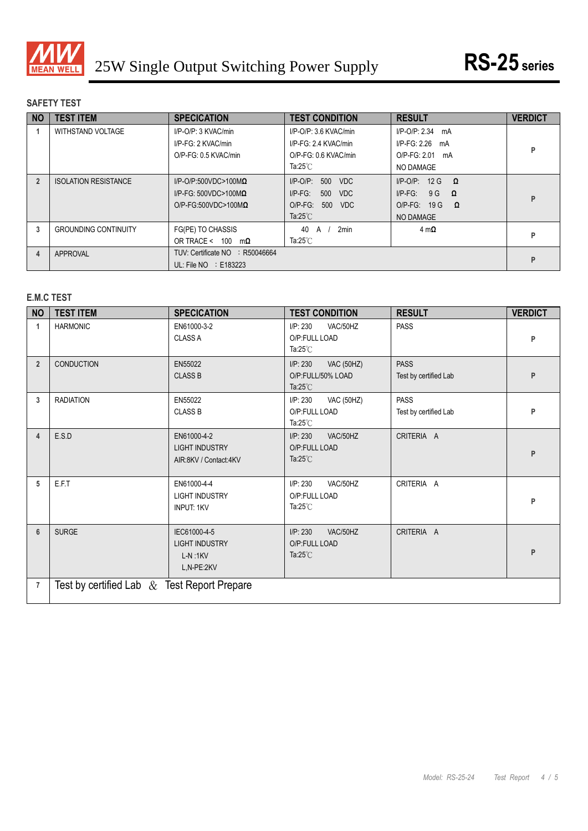

# **SAFETY TEST**

| <b>NO</b> | <b>TEST ITEM</b>            | <b>SPECICATION</b>                                                                                   | <b>TEST CONDITION</b>                                                                                          | <b>RESULT</b>                                                                                     | <b>VERDICT</b> |
|-----------|-----------------------------|------------------------------------------------------------------------------------------------------|----------------------------------------------------------------------------------------------------------------|---------------------------------------------------------------------------------------------------|----------------|
|           | WITHSTAND VOLTAGE           | I/P-O/P: 3 KVAC/min<br>I/P-FG: 2 KVAC/min<br>O/P-FG: 0.5 KVAC/min                                    | $I/P$ -O/P: 3.6 KVAC/min<br>I/P-FG: 2.4 KVAC/min<br>O/P-FG: 0.6 KVAC/min<br>Ta: $25^{\circ}$ C                 | $I/P-O/P: 2.34$ mA<br>$I/P-FG: 2.26$ mA<br>$O/P-FG: 2.01$<br>mA<br>NO DAMAGE                      | P              |
|           | <b>ISOLATION RESISTANCE</b> | $I/P$ -O/P:500VDC>100M $\Omega$<br>$I/P$ -FG: 500VDC>100M $\Omega$<br>$O/P$ -FG:500VDC>100M $\Omega$ | 500<br>$I/P$ -O/P:<br><b>VDC</b><br>500<br>$I/P-FG$ :<br>VDC<br>$O/P-FG$ :<br>500<br>VDC<br>Ta: $25^{\circ}$ C | $I/P$ -O/P: 12 G<br>$\Omega$<br>$I/P-FG$ :<br>9G<br>$\Omega$<br>$O/P-FG$ : 19 G<br>Ω<br>NO DAMAGE | P              |
|           | <b>GROUNDING CONTINUITY</b> | FG(PE) TO CHASSIS<br>OR TRACE < 100<br>mΩ                                                            | 2 <sub>min</sub><br>40<br>A<br>Ta: $25^{\circ}$ C                                                              | $4 \text{ m}\Omega$                                                                               | P              |
| 4         | APPROVAL                    | TUV: Certificate NO<br>R50046664<br>UL: File $NO$ : E183223                                          |                                                                                                                |                                                                                                   | P              |

# **E.M.C TEST**

| <b>NO</b>      | <b>TEST ITEM</b>                               | <b>SPECICATION</b>                                               | <b>TEST CONDITION</b>                                                    | <b>RESULT</b>                        | <b>VERDICT</b> |
|----------------|------------------------------------------------|------------------------------------------------------------------|--------------------------------------------------------------------------|--------------------------------------|----------------|
| $\mathbf 1$    | <b>HARMONIC</b>                                | EN61000-3-2<br><b>CLASS A</b>                                    | I/P: 230<br>VAC/50HZ<br>O/P:FULL LOAD<br>Ta: $25^{\circ}$ C              | <b>PASS</b>                          | P              |
| $\overline{2}$ | <b>CONDUCTION</b>                              | EN55022<br><b>CLASS B</b>                                        | I/P: 230<br><b>VAC (50HZ)</b><br>O/P:FULL/50% LOAD<br>Ta: $25^{\circ}$ C | <b>PASS</b><br>Test by certified Lab | P              |
| 3              | <b>RADIATION</b>                               | EN55022<br><b>CLASS B</b>                                        | I/P: 230<br><b>VAC (50HZ)</b><br>O/P:FULL LOAD<br>Ta: $25^{\circ}$ C     | <b>PASS</b><br>Test by certified Lab | P              |
| 4              | E.S.D                                          | EN61000-4-2<br><b>LIGHT INDUSTRY</b><br>AIR:8KV / Contact:4KV    | I/P: 230<br>VAC/50HZ<br>O/P:FULL LOAD<br>Ta: $25^{\circ}$ C              | CRITERIA A                           | P              |
| 5              | E.F.T                                          | EN61000-4-4<br><b>LIGHT INDUSTRY</b><br><b>INPUT: 1KV</b>        | I/P: 230<br>VAC/50HZ<br>O/P:FULL LOAD<br>Ta: $25^{\circ}$ C              | CRITERIA A                           | P              |
| $6\phantom{1}$ | <b>SURGE</b>                                   | IEC61000-4-5<br><b>LIGHT INDUSTRY</b><br>$L-N:1KV$<br>L,N-PE:2KV | I/P: 230<br>VAC/50HZ<br>O/P:FULL LOAD<br>Ta: $25^{\circ}$ C              | CRITERIA A                           | P              |
| $\overline{7}$ | Test by certified Lab $\&$ Test Report Prepare |                                                                  |                                                                          |                                      |                |